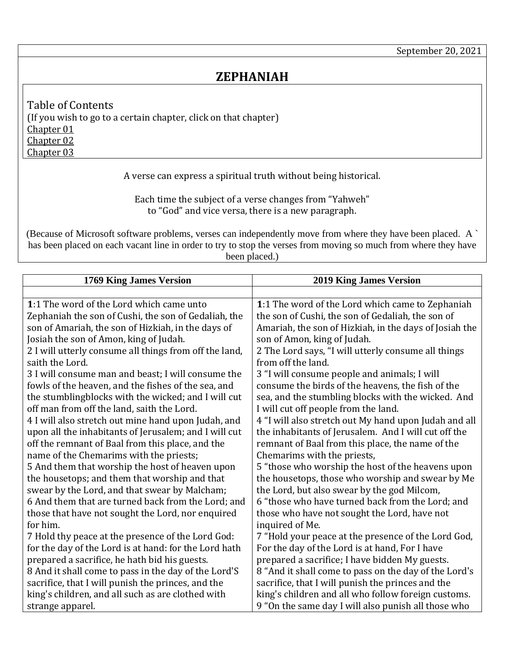## **ZEPHANIAH**

<span id="page-0-3"></span><span id="page-0-2"></span><span id="page-0-1"></span>Table of Contents (If you wish to go to a certain chapter, click on that chapter) [Chapter 01](#page-0-0) [Chapter 02](#page-1-0) [Chapter 03](#page-3-0)

A verse can express a spiritual truth without being historical.

Each time the subject of a verse changes from "Yahweh" to "God" and vice versa, there is a new paragraph.

(Because of Microsoft software problems, verses can independently move from where they have been placed. A ` has been placed on each vacant line in order to try to stop the verses from moving so much from where they have been placed.)

<span id="page-0-0"></span>

| <b>1769 King James Version</b>                         | <b>2019 King James Version</b>                         |
|--------------------------------------------------------|--------------------------------------------------------|
|                                                        |                                                        |
| 1:1 The word of the Lord which came unto               | 1:1 The word of the Lord which came to Zephaniah       |
| Zephaniah the son of Cushi, the son of Gedaliah, the   | the son of Cushi, the son of Gedaliah, the son of      |
| son of Amariah, the son of Hizkiah, in the days of     | Amariah, the son of Hizkiah, in the days of Josiah the |
| Josiah the son of Amon, king of Judah.                 | son of Amon, king of Judah.                            |
| 2 I will utterly consume all things from off the land, | 2 The Lord says, "I will utterly consume all things    |
| saith the Lord.                                        | from off the land.                                     |
| 3 I will consume man and beast; I will consume the     | 3 "I will consume people and animals; I will           |
| fowls of the heaven, and the fishes of the sea, and    | consume the birds of the heavens, the fish of the      |
| the stumbling blocks with the wicked; and I will cut   | sea, and the stumbling blocks with the wicked. And     |
| off man from off the land, saith the Lord.             | I will cut off people from the land.                   |
| 4 I will also stretch out mine hand upon Judah, and    | 4 "I will also stretch out My hand upon Judah and all  |
| upon all the inhabitants of Jerusalem; and I will cut  | the inhabitants of Jerusalem. And I will cut off the   |
| off the remnant of Baal from this place, and the       | remnant of Baal from this place, the name of the       |
| name of the Chemarims with the priests;                | Chemarims with the priests,                            |
| 5 And them that worship the host of heaven upon        | 5 "those who worship the host of the heavens upon      |
| the housetops; and them that worship and that          | the housetops, those who worship and swear by Me       |
| swear by the Lord, and that swear by Malcham;          | the Lord, but also swear by the god Milcom,            |
| 6 And them that are turned back from the Lord; and     | 6 "those who have turned back from the Lord; and       |
| those that have not sought the Lord, nor enquired      | those who have not sought the Lord, have not           |
| for him.                                               | inquired of Me.                                        |
| 7 Hold thy peace at the presence of the Lord God:      | 7 "Hold your peace at the presence of the Lord God,    |
| for the day of the Lord is at hand: for the Lord hath  | For the day of the Lord is at hand, For I have         |
| prepared a sacrifice, he hath bid his guests.          | prepared a sacrifice; I have bidden My guests.         |
| 8 And it shall come to pass in the day of the Lord'S   | 8 "And it shall come to pass on the day of the Lord's  |
| sacrifice, that I will punish the princes, and the     | sacrifice, that I will punish the princes and the      |
| king's children, and all such as are clothed with      | king's children and all who follow foreign customs.    |
| strange apparel.                                       | 9 "On the same day I will also punish all those who    |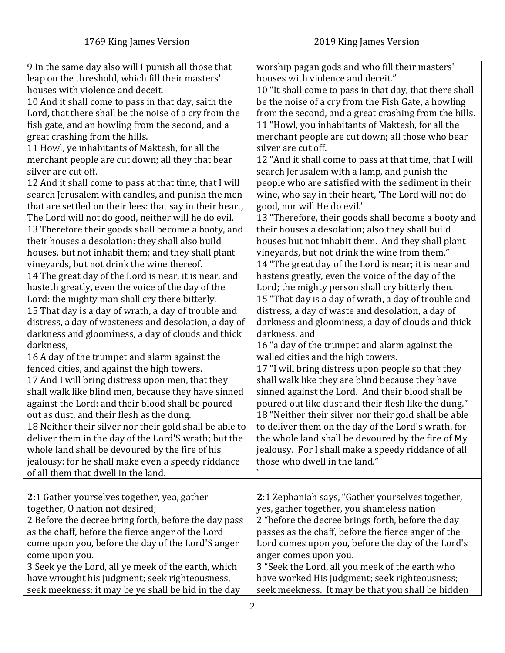<span id="page-1-0"></span>

| 9 In the same day also will I punish all those that                                       | worship pagan gods and who fill their masters'          |
|-------------------------------------------------------------------------------------------|---------------------------------------------------------|
| leap on the threshold, which fill their masters'                                          | houses with violence and deceit."                       |
| houses with violence and deceit.                                                          | 10 "It shall come to pass in that day, that there shall |
| 10 And it shall come to pass in that day, saith the                                       | be the noise of a cry from the Fish Gate, a howling     |
| Lord, that there shall be the noise of a cry from the                                     | from the second, and a great crashing from the hills.   |
| fish gate, and an howling from the second, and a                                          | 11 "Howl, you inhabitants of Maktesh, for all the       |
| great crashing from the hills.                                                            | merchant people are cut down; all those who bear        |
| 11 Howl, ye inhabitants of Maktesh, for all the                                           | silver are cut off.                                     |
| merchant people are cut down; all they that bear                                          | 12 "And it shall come to pass at that time, that I will |
| silver are cut off.                                                                       | search Jerusalem with a lamp, and punish the            |
| 12 And it shall come to pass at that time, that I will                                    | people who are satisfied with the sediment in their     |
| search Jerusalem with candles, and punish the men                                         | wine, who say in their heart, 'The Lord will not do     |
| that are settled on their lees: that say in their heart,                                  | good, nor will He do evil.'                             |
| The Lord will not do good, neither will he do evil.                                       | 13 "Therefore, their goods shall become a booty and     |
| 13 Therefore their goods shall become a booty, and                                        | their houses a desolation; also they shall build        |
| their houses a desolation: they shall also build                                          | houses but not inhabit them. And they shall plant       |
| houses, but not inhabit them; and they shall plant                                        | vineyards, but not drink the wine from them."           |
| vineyards, but not drink the wine thereof.                                                | 14 "The great day of the Lord is near; it is near and   |
| 14 The great day of the Lord is near, it is near, and                                     | hastens greatly, even the voice of the day of the       |
| hasteth greatly, even the voice of the day of the                                         | Lord; the mighty person shall cry bitterly then.        |
| Lord: the mighty man shall cry there bitterly.                                            | 15 "That day is a day of wrath, a day of trouble and    |
| 15 That day is a day of wrath, a day of trouble and                                       | distress, a day of waste and desolation, a day of       |
| distress, a day of wasteness and desolation, a day of                                     | darkness and gloominess, a day of clouds and thick      |
| darkness and gloominess, a day of clouds and thick                                        | darkness, and                                           |
| darkness,                                                                                 | 16 "a day of the trumpet and alarm against the          |
| 16 A day of the trumpet and alarm against the                                             | walled cities and the high towers.                      |
| fenced cities, and against the high towers.                                               | 17 "I will bring distress upon people so that they      |
| 17 And I will bring distress upon men, that they                                          | shall walk like they are blind because they have        |
| shall walk like blind men, because they have sinned                                       | sinned against the Lord. And their blood shall be       |
| against the Lord: and their blood shall be poured                                         | poured out like dust and their flesh like the dung."    |
| out as dust, and their flesh as the dung.                                                 | 18 "Neither their silver nor their gold shall be able   |
| 18 Neither their silver nor their gold shall be able to                                   | to deliver them on the day of the Lord's wrath, for     |
| deliver them in the day of the Lord'S wrath; but the                                      | the whole land shall be devoured by the fire of My      |
| whole land shall be devoured by the fire of his                                           | jealousy. For I shall make a speedy riddance of all     |
| jealousy: for he shall make even a speedy riddance<br>of all them that dwell in the land. | those who dwell in the land."                           |
|                                                                                           |                                                         |
| 2:1 Gather yourselves together, yea, gather                                               | 2:1 Zephaniah says, "Gather yourselves together,        |
| together, O nation not desired;                                                           | yes, gather together, you shameless nation              |
| 2 Before the decree bring forth, before the day pass                                      | 2 "before the decree brings forth, before the day       |
| as the chaff, before the fierce anger of the Lord                                         | passes as the chaff, before the fierce anger of the     |
| come upon you, before the day of the Lord'S anger                                         | Lord comes upon you, before the day of the Lord's       |
| come upon you.                                                                            | anger comes upon you.                                   |
| 3 Seek ye the Lord, all ye meek of the earth, which                                       | 3 "Seek the Lord, all you meek of the earth who         |
| have wrought his judgment; seek righteousness,                                            | have worked His judgment; seek righteousness;           |
| seek meekness: it may be ye shall be hid in the day                                       | seek meekness. It may be that you shall be hidden       |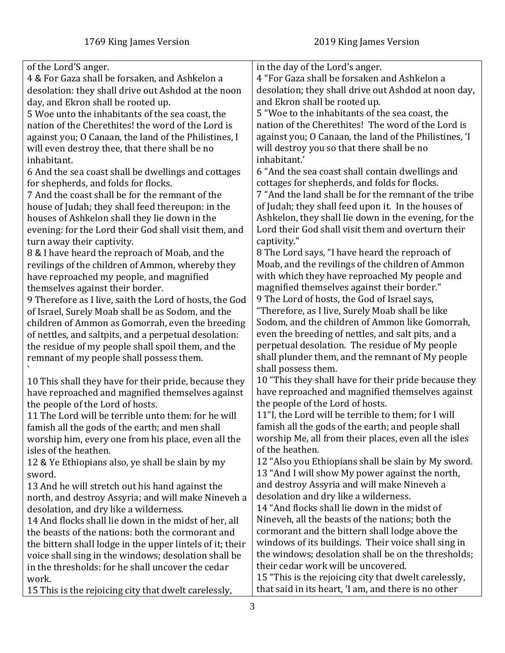| of the Lord'S anger.                                      | in the day of the Lord's anger.                        |
|-----------------------------------------------------------|--------------------------------------------------------|
| 4 & For Gaza shall be forsaken, and Ashkelon a            | 4 "For Gaza shall be forsaken and Ashkelon a           |
| desolation: they shall drive out Ashdod at the noon       | desolation; they shall drive out Ashdod at noon day,   |
| day, and Ekron shall be rooted up.                        | and Ekron shall be rooted up.                          |
| 5 Woe unto the inhabitants of the sea coast, the          | 5 "Woe to the inhabitants of the sea coast, the        |
| nation of the Cherethites! the word of the Lord is        | nation of the Cherethites! The word of the Lord is     |
| against you; O Canaan, the land of the Philistines, I     | against you; O Canaan, the land of the Philistines, 'I |
| will even destroy thee, that there shall be no            | will destroy you so that there shall be no             |
| inhabitant.                                               | inhabitant.'                                           |
| 6 And the sea coast shall be dwellings and cottages       | 6 "And the sea coast shall contain dwellings and       |
| for shepherds, and folds for flocks.                      | cottages for shepherds, and folds for flocks.          |
| 7 And the coast shall be for the remnant of the           | 7 "And the land shall be for the remnant of the tribe  |
| house of Judah; they shall feed thereupon: in the         | of Judah; they shall feed upon it. In the houses of    |
| houses of Ashkelon shall they lie down in the             | Ashkelon, they shall lie down in the evening, for the  |
| evening: for the Lord their God shall visit them, and     | Lord their God shall visit them and overturn their     |
| turn away their captivity.                                | captivity."                                            |
| 8 & I have heard the reproach of Moab, and the            | 8 The Lord says, "I have heard the reproach of         |
| revilings of the children of Ammon, whereby they          | Moab, and the revilings of the children of Ammon       |
| have reproached my people, and magnified                  | with which they have reproached My people and          |
| themselves against their border.                          | magnified themselves against their border."            |
| 9 Therefore as I live, saith the Lord of hosts, the God   | 9 The Lord of hosts, the God of Israel says,           |
| of Israel, Surely Moab shall be as Sodom, and the         | "Therefore, as I live, Surely Moab shall be like       |
| children of Ammon as Gomorrah, even the breeding          | Sodom, and the children of Ammon like Gomorrah,        |
| of nettles, and saltpits, and a perpetual desolation:     | even the breeding of nettles, and salt pits, and a     |
| the residue of my people shall spoil them, and the        | perpetual desolation. The residue of My people         |
| remnant of my people shall possess them.                  | shall plunder them, and the remnant of My people       |
|                                                           | shall possess them.                                    |
| 10 This shall they have for their pride, because they     | 10 "This they shall have for their pride because they  |
| have reproached and magnified themselves against          | have reproached and magnified themselves against       |
| the people of the Lord of hosts.                          | the people of the Lord of hosts.                       |
| 11 The Lord will be terrible unto them: for he will       | 11"I, the Lord will be terrible to them; for I will    |
| famish all the gods of the earth; and men shall           | famish all the gods of the earth; and people shall     |
| worship him, every one from his place, even all the       | worship Me, all from their places, even all the isles  |
| isles of the heathen.                                     | of the heathen.                                        |
| 12 & Ye Ethiopians also, ye shall be slain by my          | 12 "Also you Ethiopians shall be slain by My sword.    |
| sword.                                                    | 13 "And I will show My power against the north,        |
| 13 And he will stretch out his hand against the           | and destroy Assyria and will make Nineveh a            |
| north, and destroy Assyria; and will make Nineveh a       | desolation and dry like a wilderness.                  |
| desolation, and dry like a wilderness.                    | 14 "And flocks shall lie down in the midst of          |
| 14 And flocks shall lie down in the midst of her, all     | Nineveh, all the beasts of the nations; both the       |
| the beasts of the nations: both the cormorant and         | cormorant and the bittern shall lodge above the        |
| the bittern shall lodge in the upper lintels of it; their | windows of its buildings. Their voice shall sing in    |
| voice shall sing in the windows; desolation shall be      | the windows; desolation shall be on the thresholds;    |
| in the thresholds: for he shall uncover the cedar         | their cedar work will be uncovered.                    |
| work.                                                     | 15 "This is the rejoicing city that dwelt carelessly,  |
| 15 This is the rejoicing city that dwelt carelessly,      | that said in its heart, 'I am, and there is no other   |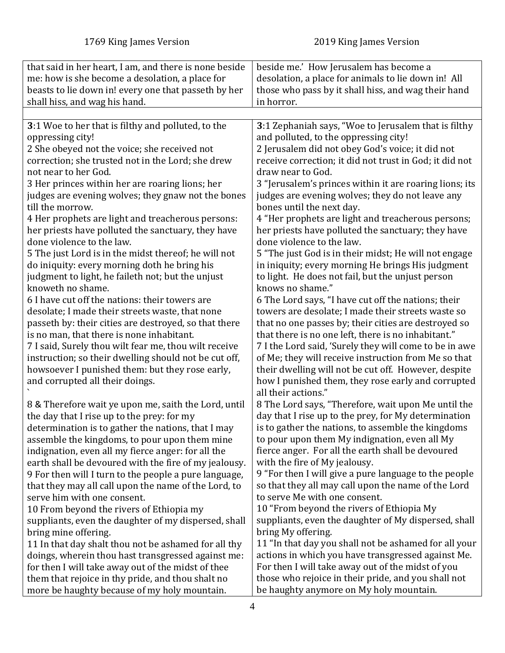<span id="page-3-0"></span>

| that said in her heart, I am, and there is none beside | beside me.' How Jerusalem has become a                  |
|--------------------------------------------------------|---------------------------------------------------------|
| me: how is she become a desolation, a place for        | desolation, a place for animals to lie down in! All     |
| beasts to lie down in! every one that passeth by her   | those who pass by it shall hiss, and wag their hand     |
| shall hiss, and wag his hand.                          | in horror.                                              |
|                                                        |                                                         |
| 3:1 Woe to her that is filthy and polluted, to the     | 3:1 Zephaniah says, "Woe to Jerusalem that is filthy    |
| oppressing city!                                       | and polluted, to the oppressing city!                   |
| 2 She obeyed not the voice; she received not           | 2 Jerusalem did not obey God's voice; it did not        |
| correction; she trusted not in the Lord; she drew      | receive correction; it did not trust in God; it did not |
| not near to her God.                                   | draw near to God.                                       |
| 3 Her princes within her are roaring lions; her        | 3 "Jerusalem's princes within it are roaring lions; its |
| judges are evening wolves; they gnaw not the bones     | judges are evening wolves; they do not leave any        |
| till the morrow.                                       | bones until the next day.                               |
| 4 Her prophets are light and treacherous persons:      | 4 "Her prophets are light and treacherous persons;      |
| her priests have polluted the sanctuary, they have     | her priests have polluted the sanctuary; they have      |
| done violence to the law.                              | done violence to the law.                               |
| 5 The just Lord is in the midst thereof; he will not   | 5 "The just God is in their midst; He will not engage   |
| do iniquity: every morning doth he bring his           | in iniquity; every morning He brings His judgment       |
| judgment to light, he faileth not; but the unjust      | to light. He does not fail, but the unjust person       |
| knoweth no shame.                                      | knows no shame."                                        |
| 6 I have cut off the nations: their towers are         | 6 The Lord says, "I have cut off the nations; their     |
| desolate; I made their streets waste, that none        | towers are desolate; I made their streets waste so      |
| passeth by: their cities are destroyed, so that there  | that no one passes by; their cities are destroyed so    |
| is no man, that there is none inhabitant.              | that there is no one left, there is no inhabitant."     |
| 7 I said, Surely thou wilt fear me, thou wilt receive  | 7 I the Lord said, 'Surely they will come to be in awe  |
| instruction; so their dwelling should not be cut off,  | of Me; they will receive instruction from Me so that    |
| howsoever I punished them: but they rose early,        | their dwelling will not be cut off. However, despite    |
| and corrupted all their doings.                        | how I punished them, they rose early and corrupted      |
|                                                        | all their actions."                                     |
| 8 & Therefore wait ye upon me, saith the Lord, until   | 8 The Lord says, "Therefore, wait upon Me until the     |
| the day that I rise up to the prey: for my             | day that I rise up to the prey, for My determination    |
| determination is to gather the nations, that I may     | is to gather the nations, to assemble the kingdoms      |
| assemble the kingdoms, to pour upon them mine          | to pour upon them My indignation, even all My           |
| indignation, even all my fierce anger: for all the     | fierce anger. For all the earth shall be devoured       |
| earth shall be devoured with the fire of my jealousy.  | with the fire of My jealousy.                           |
| 9 For then will I turn to the people a pure language,  | 9 "For then I will give a pure language to the people   |
| that they may all call upon the name of the Lord, to   | so that they all may call upon the name of the Lord     |
| serve him with one consent.                            | to serve Me with one consent.                           |
| 10 From beyond the rivers of Ethiopia my               | 10 "From beyond the rivers of Ethiopia My               |
| suppliants, even the daughter of my dispersed, shall   | suppliants, even the daughter of My dispersed, shall    |
| bring mine offering.                                   | bring My offering.                                      |
| 11 In that day shalt thou not be ashamed for all thy   | 11 "In that day you shall not be ashamed for all your   |
| doings, wherein thou hast transgressed against me:     | actions in which you have transgressed against Me.      |
| for then I will take away out of the midst of thee     | For then I will take away out of the midst of you       |
| them that rejoice in thy pride, and thou shalt no      | those who rejoice in their pride, and you shall not     |
| more be haughty because of my holy mountain.           | be haughty anymore on My holy mountain.                 |
|                                                        |                                                         |